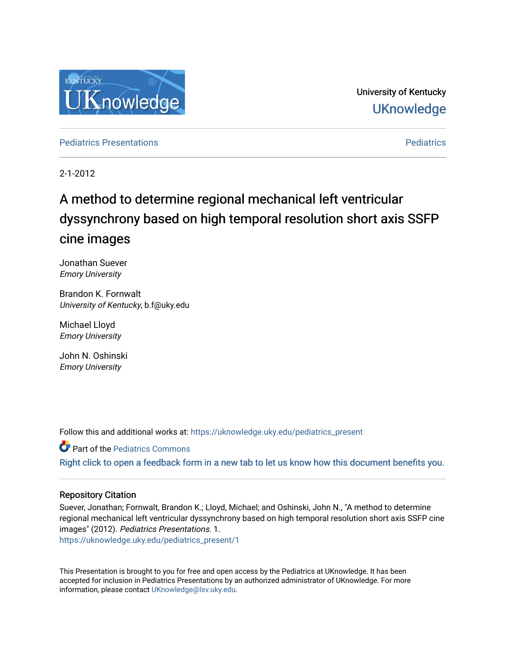

University of Kentucky **UKnowledge** 

**[Pediatrics](https://uknowledge.uky.edu/pediatrics) Presentations Pediatrics** Pediatrics **Presentations** 

2-1-2012

# A method to determine regional mechanical left ventricular dyssynchrony based on high temporal resolution short axis SSFP cine images

Jonathan Suever Emory University

Brandon K. Fornwalt University of Kentucky, b.f@uky.edu

Michael Lloyd Emory University

John N. Oshinski Emory University

Follow this and additional works at: [https://uknowledge.uky.edu/pediatrics\\_present](https://uknowledge.uky.edu/pediatrics_present?utm_source=uknowledge.uky.edu%2Fpediatrics_present%2F1&utm_medium=PDF&utm_campaign=PDFCoverPages)

**Part of the [Pediatrics Commons](http://network.bepress.com/hgg/discipline/700?utm_source=uknowledge.uky.edu%2Fpediatrics_present%2F1&utm_medium=PDF&utm_campaign=PDFCoverPages)** 

[Right click to open a feedback form in a new tab to let us know how this document benefits you.](https://uky.az1.qualtrics.com/jfe/form/SV_9mq8fx2GnONRfz7)

## Repository Citation

Suever, Jonathan; Fornwalt, Brandon K.; Lloyd, Michael; and Oshinski, John N., "A method to determine regional mechanical left ventricular dyssynchrony based on high temporal resolution short axis SSFP cine images" (2012). Pediatrics Presentations. 1.

[https://uknowledge.uky.edu/pediatrics\\_present/1](https://uknowledge.uky.edu/pediatrics_present/1?utm_source=uknowledge.uky.edu%2Fpediatrics_present%2F1&utm_medium=PDF&utm_campaign=PDFCoverPages)

This Presentation is brought to you for free and open access by the Pediatrics at UKnowledge. It has been accepted for inclusion in Pediatrics Presentations by an authorized administrator of UKnowledge. For more information, please contact [UKnowledge@lsv.uky.edu](mailto:UKnowledge@lsv.uky.edu).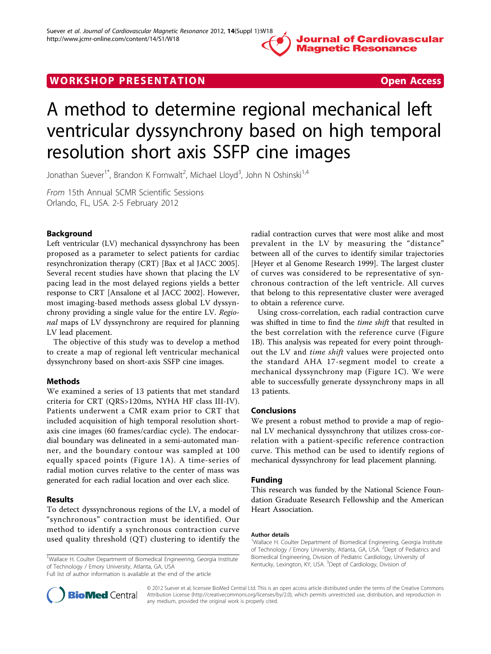





# A method to determine regional mechanical left ventricular dyssynchrony based on high temporal resolution short axis SSFP cine images

Jonathan Suever<sup>1\*</sup>, Brandon K Fornwalt<sup>2</sup>, Michael Lloyd<sup>3</sup>, John N Oshinski<sup>1,4</sup>

From 15th Annual SCMR Scientific Sessions Orlando, FL, USA. 2-5 February 2012

### Background

Left ventricular (LV) mechanical dyssynchrony has been proposed as a parameter to select patients for cardiac resynchronization therapy (CRT) [Bax et al JACC 2005]. Several recent studies have shown that placing the LV pacing lead in the most delayed regions yields a better response to CRT [Ansalone et al JACC 2002]. However, most imaging-based methods assess global LV dyssynchrony providing a single value for the entire LV. Regional maps of LV dyssynchrony are required for planning LV lead placement.

The objective of this study was to develop a method to create a map of regional left ventricular mechanical dyssynchrony based on short-axis SSFP cine images.

#### Methods

We examined a series of 13 patients that met standard criteria for CRT (QRS>120ms, NYHA HF class III-IV). Patients underwent a CMR exam prior to CRT that included acquisition of high temporal resolution shortaxis cine images (60 frames/cardiac cycle). The endocardial boundary was delineated in a semi-automated manner, and the boundary contour was sampled at 100 equally spaced points (Figure 1A). A time-series of radial motion curves relative to the center of mass was generated for each radial location and over each slice.

#### Results

To detect dyssynchronous regions of the LV, a model of "synchronous" contraction must be identified. Our method to identify a synchronous contraction curve used quality threshold (QT) clustering to identify the

<sup>1</sup>Wallace H. Coulter Department of Biomedical Engineering, Georgia Institute of Technology / Emory University, Atlanta, GA, USA

Full list of author information is available at the end of the article



Using cross-correlation, each radial contraction curve was shifted in time to find the time shift that resulted in the best correlation with the reference curve (Figure 1B). This analysis was repeated for every point throughout the LV and time shift values were projected onto the standard AHA 17-segment model to create a mechanical dyssynchrony map (Figure 1C). We were able to successfully generate dyssynchrony maps in all 13 patients.

#### Conclusions

We present a robust method to provide a map of regional LV mechanical dyssynchrony that utilizes cross-correlation with a patient-specific reference contraction curve. This method can be used to identify regions of mechanical dyssynchrony for lead placement planning.

#### Funding

This research was funded by the National Science Foundation Graduate Research Fellowship and the American Heart Association.

#### Author details

<sup>1</sup>Wallace H. Coulter Department of Biomedical Engineering, Georgia Institute of Technology / Emory University, Atlanta, GA, USA. <sup>2</sup>Dept of Pediatrics and Biomedical Engineering, Division of Pediatric Cardiology, University of Kentucky, Lexington, KY, USA. <sup>3</sup>Dept of Cardiology, Division of



© 2012 Suever et al; licensee BioMed Central Ltd. This is an open access article distributed under the terms of the Creative Commons Attribution License [\(http://creativecommons.org/licenses/by/2.0](http://creativecommons.org/licenses/by/2.0)), which permits unrestricted use, distribution, and reproduction in any medium, provided the original work is properly cited.